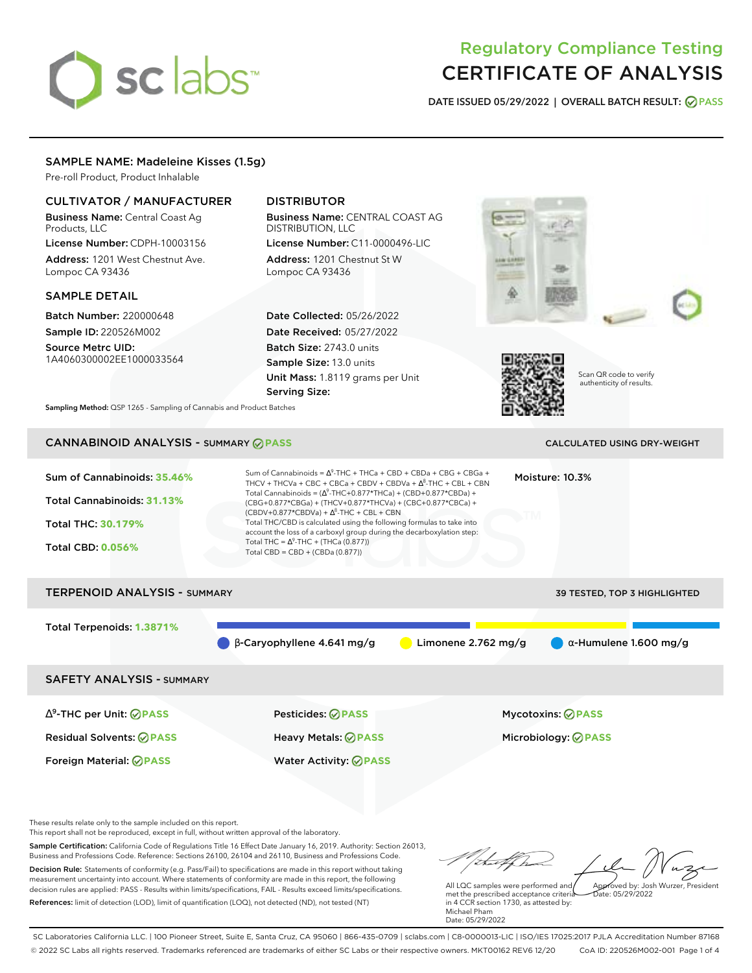# sclabs<sup>\*</sup>

# Regulatory Compliance Testing CERTIFICATE OF ANALYSIS

**DATE ISSUED 05/29/2022 | OVERALL BATCH RESULT: PASS**

# SAMPLE NAME: Madeleine Kisses (1.5g)

Pre-roll Product, Product Inhalable

# CULTIVATOR / MANUFACTURER

Business Name: Central Coast Ag Products, LLC

License Number: CDPH-10003156 Address: 1201 West Chestnut Ave. Lompoc CA 93436

# SAMPLE DETAIL

Batch Number: 220000648 Sample ID: 220526M002

Source Metrc UID: 1A4060300002EE1000033564

# DISTRIBUTOR

Business Name: CENTRAL COAST AG DISTRIBUTION, LLC

License Number: C11-0000496-LIC Address: 1201 Chestnut St W Lompoc CA 93436

Date Collected: 05/26/2022 Date Received: 05/27/2022 Batch Size: 2743.0 units Sample Size: 13.0 units Unit Mass: 1.8119 grams per Unit Serving Size:





Scan QR code to verify authenticity of results.

**Sampling Method:** QSP 1265 - Sampling of Cannabis and Product Batches

# CANNABINOID ANALYSIS - SUMMARY **PASS** CALCULATED USING DRY-WEIGHT

| Sum of Cannabinoids: 35.46%<br>Total Cannabinoids: 31.13%<br>Total THC: 30.179%<br><b>Total CBD: 0.056%</b> | Sum of Cannabinoids = $\Delta^9$ -THC + THCa + CBD + CBDa + CBG + CBGa +<br>THCV + THCVa + CBC + CBCa + CBDV + CBDVa + $\Lambda^8$ -THC + CBL + CBN<br>Total Cannabinoids = $(\Delta^9$ -THC+0.877*THCa) + (CBD+0.877*CBDa) +<br>(CBG+0.877*CBGa) + (THCV+0.877*THCVa) + (CBC+0.877*CBCa) +<br>$(CBDV+0.877*CBDVa) + \Delta^8$ -THC + CBL + CBN<br>Total THC/CBD is calculated using the following formulas to take into<br>account the loss of a carboxyl group during the decarboxylation step:<br>Total THC = $\Delta^9$ -THC + (THCa (0.877))<br>Total CBD = $CBD + (CBDa (0.877))$ |                       | Moisture: 10.3%<br>ŒМ                                  |  |
|-------------------------------------------------------------------------------------------------------------|-----------------------------------------------------------------------------------------------------------------------------------------------------------------------------------------------------------------------------------------------------------------------------------------------------------------------------------------------------------------------------------------------------------------------------------------------------------------------------------------------------------------------------------------------------------------------------------------|-----------------------|--------------------------------------------------------|--|
| <b>TERPENOID ANALYSIS - SUMMARY</b>                                                                         |                                                                                                                                                                                                                                                                                                                                                                                                                                                                                                                                                                                         |                       | 39 TESTED, TOP 3 HIGHLIGHTED                           |  |
| Total Terpenoids: 1.3871%                                                                                   | $\beta$ -Caryophyllene 4.641 mg/g                                                                                                                                                                                                                                                                                                                                                                                                                                                                                                                                                       | Limonene $2.762$ mg/g | $\alpha$ -Humulene 1.600 mg/g                          |  |
| <b>SAFETY ANALYSIS - SUMMARY</b>                                                                            |                                                                                                                                                                                                                                                                                                                                                                                                                                                                                                                                                                                         |                       |                                                        |  |
| $\Delta^9$ -THC per Unit: $\oslash$ PASS<br><b>Residual Solvents: ⊘PASS</b>                                 | <b>Pesticides: ⊘ PASS</b><br>Heavy Metals: @PASS                                                                                                                                                                                                                                                                                                                                                                                                                                                                                                                                        |                       | <b>Mycotoxins: ⊘PASS</b><br>Microbiology: <b>⊘PASS</b> |  |

These results relate only to the sample included on this report.

This report shall not be reproduced, except in full, without written approval of the laboratory.

Sample Certification: California Code of Regulations Title 16 Effect Date January 16, 2019. Authority: Section 26013, Business and Professions Code. Reference: Sections 26100, 26104 and 26110, Business and Professions Code. Decision Rule: Statements of conformity (e.g. Pass/Fail) to specifications are made in this report without taking measurement uncertainty into account. Where statements of conformity are made in this report, the following decision rules are applied: PASS - Results within limits/specifications, FAIL - Results exceed limits/specifications.

Foreign Material: **PASS** Water Activity: **PASS**

References: limit of detection (LOD), limit of quantification (LOQ), not detected (ND), not tested (NT)

Approved by: Josh Wurzer, President

Date: 05/29/2022

All LQC samples were performed and met the prescribed acceptance criteria in 4 CCR section 1730, as attested by: Michael Pham Date: 05/29/2022

SC Laboratories California LLC. | 100 Pioneer Street, Suite E, Santa Cruz, CA 95060 | 866-435-0709 | sclabs.com | C8-0000013-LIC | ISO/IES 17025:2017 PJLA Accreditation Number 87168 © 2022 SC Labs all rights reserved. Trademarks referenced are trademarks of either SC Labs or their respective owners. MKT00162 REV6 12/20 CoA ID: 220526M002-001 Page 1 of 4